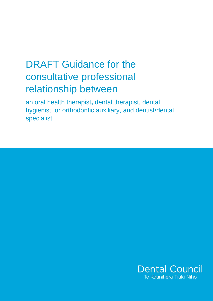# DRAFT Guidance for the consultative professional relationship between

an oral health therapist**,** dental therapist, dental hygienist, or orthodontic auxiliary, and dentist/dental specialist

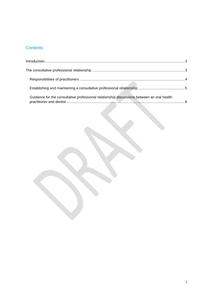## **Contents**

| Guidance for the consultative professional relationship discussions between an oral health |  |
|--------------------------------------------------------------------------------------------|--|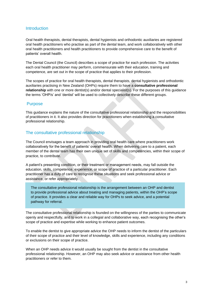#### <span id="page-2-0"></span>**Introduction**

Oral health therapists, dental therapists, dental hygienists and orthodontic auxiliaries are registered oral health practitioners who practise as part of the dental team, and work collaboratively with other oral health practitioners and health practitioners to provide comprehensive care to the benefit of patients' overall health.

The Dental Council (the Council) describes a scope of practice for each profession. The activities each oral health practitioner may perform, commensurate with their education, training and competence, are set out in the scope of practice that applies to their profession.

The scopes of practice for oral health therapists, dental therapists, dental hygienists and orthodontic auxiliaries practising in New Zealand (OHPs) require them to have a **consultative professional relationship** with one or more dentist(s) and/or dental specialist(s). For the purposes of this guidance the terms 'OHP/s' and 'dentist' will be used to collectively describe these different groups.

#### <span id="page-2-1"></span>**Purpose**

This guidance explains the nature of the consultative professional relationship and the responsibilities of practitioners in it. It also provides direction for practitioners when establishing a consultative professional relationship.

#### The consultative professional relationship

The Council envisages a team approach in providing oral health care where practitioners work collaboratively for the benefit of patients' overall health. When delivering care to a patient, each member of the dental team has their own unique set of skills and competencies, within their scope of practice, to contribute.

A patient's presenting condition, or their treatment or management needs, may fall outside the education, skills, competence, experience, or scope of practice of a particular practitioner. Each practitioner has a duty of care to recognise these situations and seek professional advice or assistance, or refer appropriately.

The consultative professional relationship is the arrangement between an OHP and dentist to provide professional advice about treating and managing patients, within the OHP's scope of practice. It provides a clear and reliable way for OHPs to seek advice, and a potential pathway for referral.

The consultative professional relationship is founded on the willingness of the parties to communicate openly and respectfully, and to work in a collegial and collaborative way, each recognising the other's scope of practice and expertise while working to enhance patient outcomes.

To enable the dentist to give appropriate advice the OHP needs to inform the dentist of the particulars of their scope of practice and their level of knowledge, skills and experience, including any conditions or exclusions on their scope of practice.

When an OHP needs advice it would usually be sought from the dentist in the consultative professional relationship. However, an OHP may also seek advice or assistance from other health practitioners or refer to them.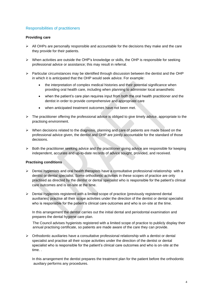#### <span id="page-3-0"></span>Responsibilities of practitioners

#### **Providing care**

- $\triangleright$  All OHPs are personally responsible and accountable for the decisions they make and the care they provide for their patients.
- $\triangleright$  When activities are outside the OHP's knowledge or skills, the OHP is responsible for seeking professional advice or assistance; this may result in referral.
- $\triangleright$  Particular circumstances may be identified through discussion between the dentist and the OHP in which it is anticipated that the OHP would seek advice. For example:
	- the interpretation of complex medical histories and their potential significance when providing oral health care, including when planning to administer local anaesthetic
	- when the patient's care plan requires input from both the oral health practitioner and the dentist in order to provide comprehensive and appropriate care
	- when anticipated treatment outcomes have not been met.
- $\triangleright$  The practitioner offering the professional advice is obliged to give timely advice, appropriate to the practising environment.
- $\triangleright$  When decisions related to the diagnosis, planning and care of patients are made based on the professional advice given, the dentist and OHP are jointly accountable for the standard of those decisions.
- $\triangleright$  Both the practitioner seeking advice and the practitioner giving advice are responsible for keeping independent, accurate and up-to-date records of advice sought, provided, and received.

#### **Practising conditions**

- $\triangleright$  Dental hygienists and oral health therapists have a consultative professional relationship with a dentist or dental specialist. Some orthodontic activities in these scopes of practice are only practised as directed by the dentist or dental specialist who is responsible for the patient's clinical care outcomes and is on-site at the time.
- $\triangleright$  Dental hygienists registered with a limited scope of practice (previously registered dental auxiliaries) practise all their scope activities under the direction of the dentist or dental specialist who is responsible for the patient's clinical care outcomes and who is on-site at the time.

In this arrangement the dentist carries out the initial dental and periodontal examination and prepares the dental hygiene care plan.

 The Council advises hygienists registered with a limited scope of practice to publicly display their annual practising certificate, so patients are made aware of the care they can provide.

 $\triangleright$  Orthodontic auxiliaries have a consultative professional relationship with a dentist or dental specialist and practise all their scope activities under the direction of the dentist or dental specialist who is responsible for the patient's clinical care outcomes and who is on-site at the time. .

In this arrangement the dentist prepares the treatment plan for the patient before the orthodontic auxiliary performs any procedures.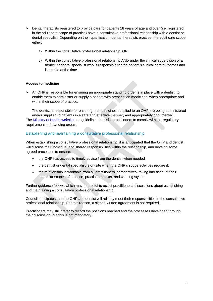- ➢ Dental therapists registered to provide care for patients 18 years of age and over (i.e. registered in the adult care scope of practice) have a consultative professional relationship with a dentist or dental specialist. Depending on their qualification, dental therapists practise the adult care scope either:
	- a) Within the consultative professional relationship, OR
	- b) Within the consultative professional relationship AND under the clinical supervision of a dentist or dental specialist who is responsible for the patient's clinical care outcomes and is on-site at the time.

#### **Access to medicine**

 $\triangleright$  An OHP is responsible for ensuring an appropriate standing order is in place with a dentist, to enable them to administer or supply a patient with prescription medicines, when appropriate and within their scope of practice.

The dentist is responsible for ensuring that medicines supplied to an OHP are being administered and/or supplied to patients in a safe and effective manner, and appropriately documented. The [Ministry of Health website](https://www.health.govt.nz/) has guidelines to assist practitioners to comply with the regulatory requirements of standing orders.

#### <span id="page-4-0"></span>Establishing and maintaining a consultative professional relationship

When establishing a consultative professional relationship, it is anticipated that the OHP and dentist will discuss their individual and shared responsibilities within the relationship, and develop some agreed processes to ensure:

- the OHP has access to timely advice from the dentist when needed
- the dentist or dental specialist is on-site when the OHP's scope activities require it.
- the relationship is workable from all practitioners' perspectives, taking into account their particular scopes of practice, practice contexts, and working styles.

Further guidance follows which may be useful to assist practitioners' discussions about establishing and maintaining a consultative professional relationship.

Council anticipates that the OHP and dentist will reliably meet their responsibilities in the consultative professional relationship. For this reason, a signed written agreement is not required.

Practitioners may still prefer to record the positions reached and the processes developed through their discussion, but this is not mandatory.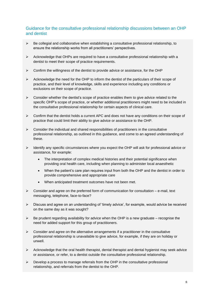### Guidance for the consultative professional relationship discussions between an OHP and dentist

- $\triangleright$  Be collegial and collaborative when establishing a consultative professional relationship, to ensure the relationship works from all practitioners' perspectives.
- ➢ Acknowledge that OHPs are required to have a consultative professional relationship with a dentist to meet their scope of practice requirements.
- $\triangleright$  Confirm the willingness of the dentist to provide advice or assistance, for the OHP
- $\triangleright$  Acknowledge the need for the OHP to inform the dentist of the particulars of their scope of practice, and their level of knowledge, skills and experience including any conditions or exclusions on their scope of practice.
- ➢ Consider whether the dentist's scope of practice enables them to give advice related to the specific OHP's scope of practice, or whether additional practitioners might need to be included in the consultative professional relationship for certain aspects of clinical care.
- ➢ Confirm that the dentist holds a current APC and does not have any conditions on their scope of practice that could limit their ability to give advice or assistance to the OHP.
- $\triangleright$  Consider the individual and shared responsibilities of practitioners in the consultative professional relationship, as outlined in this guidance, and come to an agreed understanding of these.
- ➢ Identify any specific circumstances where you expect the OHP will ask for professional advice or assistance, for example:
	- The interpretation of complex medical histories and their potential significance when providing oral health care, including when planning to administer local anaesthetic
	- When the patient's care plan requires input from both the OHP and the dentist in order to provide comprehensive and appropriate care
	- When anticipated treatment outcomes have not been met.
- $\triangleright$  Consider and agree on the preferred form of communication for consultation e-mail, text messaging, telephone, face-to-face?
- ➢ Discuss and agree on an understanding of 'timely advice', for example, would advice be received on the same day as it was sought?
- $\triangleright$  Be prudent regarding availability for advice when the OHP is a new graduate recognise the need for added support for this group of practitioners.
- $\triangleright$  Consider and agree on the alternative arrangements if a practitioner in the consultative professional relationship is unavailable to give advice, for example, if they are on holiday or unwell.
- $\triangleright$  Acknowledge that the oral health therapist, dental therapist and dental hygienist may seek advice or assistance, or refer, to a dentist outside the consultative professional relationship.
- $\triangleright$  Develop a process to manage referrals from the OHP in the consultative professional relationship, and referrals from the dentist to the OHP.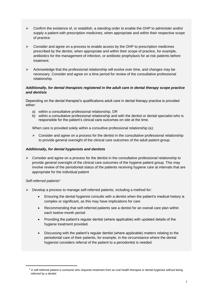- $\triangleright$  Confirm the existence of, or establish, a standing order to enable the OHP to administer and/or supply a patient with prescription medicines, when appropriate and within their respective scope of practice.
- $\triangleright$  Consider and agree on a process to enable access by the OHP to prescription medicines prescribed by the dentist, when appropriate and within their scope of practice, for example, antibiotics for the management of infection, or antibiotic prophylaxis for at-risk patients before treatment.
- $\triangleright$  Acknowledge that the professional relationship will evolve over time, and changes may be necessary. Consider and agree on a time period for review of the consultative professional relationship.

#### *Additionally, for dental therapists registered in the adult care in dental therapy scope practice and dentists*

Depending on the dental therapist's qualifications adult care in dental therapy practice is provided either:

- a) within a consultative professional relationship, OR
- b) within a consultative professional relationship and with the dentist or dental specialist who is responsible for the patient's clinical care outcomes on-site at the time.

When care is provided solely within a consultive professional relationship (a):

 $\triangleright$  Consider and agree on a process for the dentist in the consultative professional relationship to provide general oversight of the clinical care outcomes of the adult patient group.

#### *Additionally, for dental hygienists and dentists*

 $\triangleright$  Consider and agree on a process for the dentist in the consultative professional relationship to provide general oversight of the clinical care outcomes of the hygiene patient group. This may involve review of the periodontal status of the patients receiving hygiene care at intervals that are appropriate for the individual patient

#### *Self-referred patients<sup>1</sup>*

- $\triangleright$  Develop a process to manage self-referred patients, including a method for:
	- Ensuring the dental hygienist consults with a dentist when the patient's medical history is complex or significant, as this may have implications for care
	- Recommending that self-referred patients see a dentist for an overall care plan within each twelve-month period
	- Providing the patient's regular dentist (where applicable) with updated details of the hygiene treatment provided.
	- Discussing with the patient's regular dentist (where applicable) matters relating to the periodontal care of their patients, for example, in the circumstance where the dental hygienist considers referral of the patient to a periodontist is needed.

 $1$  A self-referred patient is someone who requests treatment from an oral health therapist or dental hygienist without being referred by a dentist